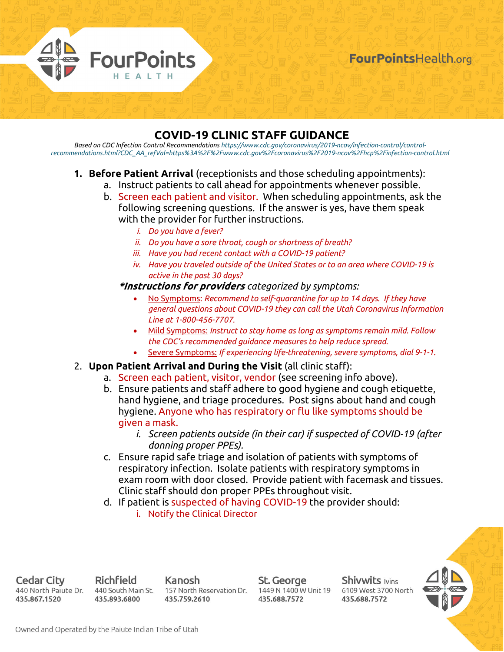

# **COVID-19 CLINIC STAFF GUIDANCE**

*Based on CDC Infection Control Recommendations https://www.cdc.gov/coronavirus/2019-ncov/infection-control/controlrecommendations.html?CDC\_AA\_refVal=https%3A%2F%2Fwww.cdc.gov%2Fcoronavirus%2F2019-ncov%2Fhcp%2Finfection-control.html*

### **1. Before Patient Arrival** (receptionists and those scheduling appointments):

- a. Instruct patients to call ahead for appointments whenever possible.
- b. Screen each patient and visitor. When scheduling appointments, ask the following screening questions. If the answer is yes, have them speak with the provider for further instructions.
	- *i. Do you have a fever?*
	- *ii. Do you have a sore throat, cough or shortness of breath?*
	- *iii. Have you had recent contact with a COVID-19 patient?*
	- *iv. Have you traveled outside of the United States or to an area where COVID-19 is active in the past 30 days?*

#### **\*Instructions for providers** *categorized by symptoms:*

- No Symptoms: *Recommend to self-quarantine for up to 14 days. If they have general questions about COVID-19 they can call the Utah Coronavirus Information Line at 1-800-456-7707.*
- Mild Symptoms: *Instruct to stay home as long as symptoms remain mild. Follow the CDC's recommended guidance measures to help reduce spread.*
- Severe Symptoms: *If experiencing life-threatening, severe symptoms, dial 9-1-1.*

### 2. **Upon Patient Arrival and During the Visit** (all clinic staff):

- a. Screen each patient, visitor, vendor (see screening info above).
- b. Ensure patients and staff adhere to good hygiene and cough etiquette, hand hygiene, and triage procedures. Post signs about hand and cough hygiene. Anyone who has respiratory or flu like symptoms should be given a mask.
	- *i. Screen patients outside (in their car) if suspected of COVID-19 (after donning proper PPEs).*
- c. Ensure rapid safe triage and isolation of patients with symptoms of respiratory infection. Isolate patients with respiratory symptoms in exam room with door closed. Provide patient with facemask and tissues. Clinic staff should don proper PPEs throughout visit.
- d. If patient is suspected of having COVID-19 the provider should: i. Notify the Clinical Director

Cedar City 440 North Paiute Dr. 435.867.1520

Richfield 440 South Main St. 435.893.6800

Kanosh 157 North Reservation Dr. 435.759.2610

St. George 435.688.7572

**Shivwits lvins** 1449 N 1400 W Unit 19 6109 West 3700 North 435.688.7572

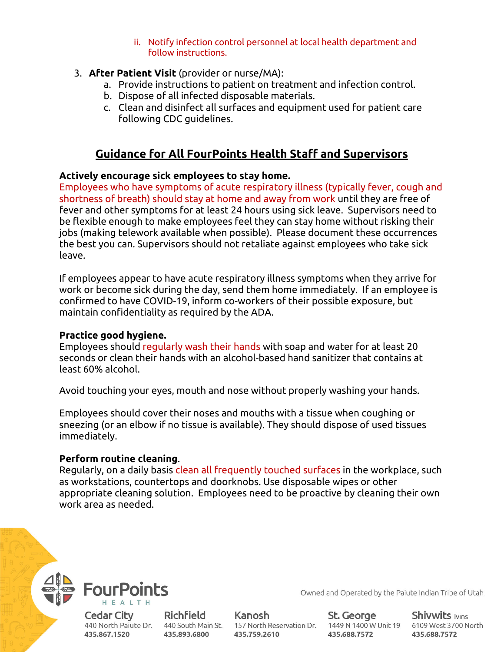ii. Notify infection control personnel at local health department and follow instructions.

### 3. **After Patient Visit** (provider or nurse/MA):

- a. Provide instructions to patient on treatment and infection control.
- b. Dispose of all infected disposable materials.
- c. Clean and disinfect all surfaces and equipment used for patient care following CDC guidelines.

# **Guidance for All FourPoints Health Staff and Supervisors**

### **Actively encourage sick employees to stay home.**

Employees who have symptoms of acute respiratory illness (typically fever, cough and shortness of breath) should stay at home and away from work until they are free of fever and other symptoms for at least 24 hours using sick leave. Supervisors need to be flexible enough to make employees feel they can stay home without risking their jobs (making telework available when possible). Please document these occurrences the best you can. Supervisors should not retaliate against employees who take sick leave.

If employees appear to have acute respiratory illness symptoms when they arrive for work or become sick during the day, send them home immediately. If an employee is confirmed to have COVID-19, inform co-workers of their possible exposure, but maintain confidentiality as required by the ADA.

## **Practice good hygiene.**

Employees should regularly wash their hands with soap and water for at least 20 seconds or clean their hands with an alcohol-based hand sanitizer that contains at least 60% alcohol.

Avoid touching your eyes, mouth and nose without properly washing your hands.

Employees should cover their noses and mouths with a tissue when coughing or sneezing (or an elbow if no tissue is available). They should dispose of used tissues immediately.

### **Perform routine cleaning**.

Regularly, on a daily basis clean all frequently touched surfaces in the workplace, such as workstations, countertops and doorknobs. Use disposable wipes or other appropriate cleaning solution. Employees need to be proactive by cleaning their own work area as needed.



Cedar City 435.867.1520

Richfield 435.893.6800

Kanosh 440 North Paiute Dr. 440 South Main St. 157 North Reservation Dr. 1449 N 1400 W Unit 19 6109 West 3700 North 435.759.2610

St. George 435.688.7572

Owned and Operated by the Paiute Indian Tribe of Utah

**Shivwits Ivins** 435.688.7572